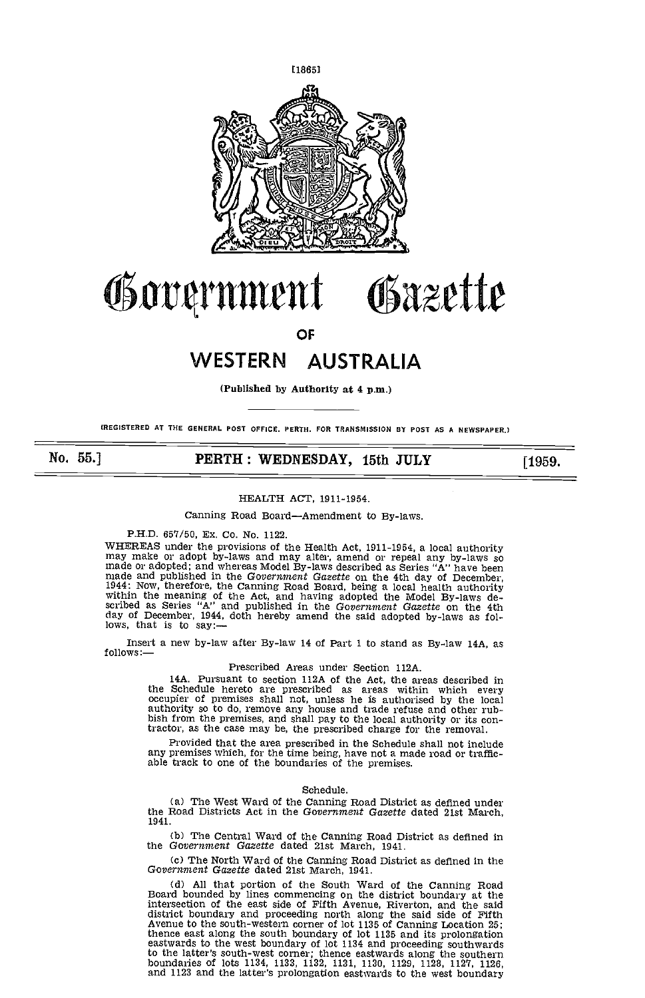

# Government Gazette

OF

# WESTERN AUSTRALIA

(Published by Authority at 4 p.m.)

(REGISTERED At THE GENERAL POST OFFICE. PERTH. FOR TRANSMISSION BY POST AS A NEWSPAPER.)

No. 55.] **PERTH: WEDNESDAY, 15th JULY** [1959.

## HEALTH ACT, 1911-1954.

Canning Road Board-Amendment to By-laws.

P.H.D. 657/50, Ex. Co. No. 1122.

WHEREAS under the provisions of the Health Act, 1911-1954, a local authority<br>may make or adopt by-laws and may alter, amend or repeal any by-laws so<br>made or adopted; and whereas Model By-laws described as Series "A" have b day of December, 1944, doth hereby amend the said adopted by-laws as fol-lows, that is to say:—

Insert a new by-law after By-law 14 of Part 1 to stand as By-law 14A, as follows:

### Prescribed Areas under Section ll2A.

14A. Pursuant to section 112A of the Act, the areas described in<br>the Schedule hereto are prescribed as areas within which every<br>occupier of premises shall not, unless he is authorised by the local<br>authority so to do, remov bish from the premises, and shall pay to the local authority or its contractor, as the case may be, the prescribed charge for the removal.

Provided that the area prescribed in the Schedule shall not include any premises which, for the time being, have not a made road or traffic- able track to one of the boundaries of the premises.

#### Schedule.

(a) The West Ward of the Canning Road District as defined under the Road Districts Act in the Government Gazette dated 21st March, 1941.

The Central Ward of the Canning Road District as defined in the Government Gazette dated 21st March, 1941.

The North Ward of the Canning Road District as defined in the Government Gazette dated 21st March 1941.

All that portion of the South Ward of the Canning Road Board bounded by lines commencing on the district boundary at the intersection of the east side of Fifth Avenue, Riverton, and the said<br>district boundary and proceeding north along the said side of Fifth<br>Avenue to the south-western corner of lot 1135 of Canning Location 25;<br>thence east a eastwards to the west boundary of lot 1134 and proceeding southwards to the latter's south-west corner; thence eastwards along the southern and 1123 and the latter's prolongation eastwards to the west boundary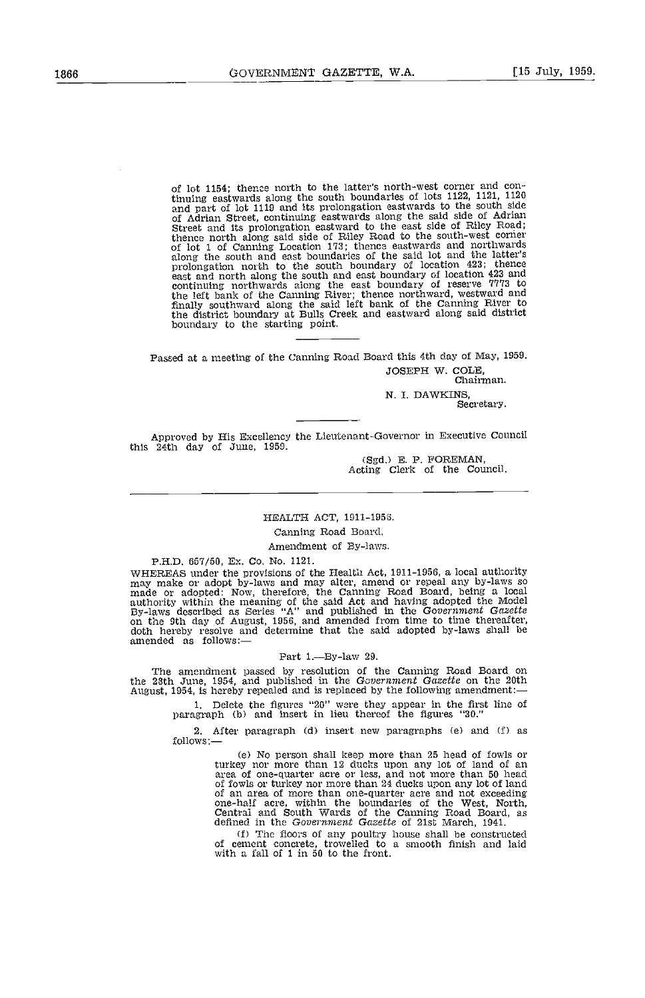of lot 1154; thence north to the latter's north-west corner and continuing eastwards along the south boundaries of lots 1122, 1121, 1120 and part of lot 1119 and its prelongation eastwards to the south side of Adrian Street, continuing eastwards along the said side of Adrian Street and its prolongation eastward to the east side of Riley Road; blence north along said side of Riley Road to the south-west corner<br>of lot 1 of Canning Location 173; thence eastwards and northwards<br>along the south and east boundaries of the said lot and the latter's<br>prolongation north east and north along the south and east boundary of location 423 and continuing northwards along the east boundary of reserve 7773 to the left bank of the Canning River; thence northward, westward and finally southward along the said left bank of the Canning River to the district boundary at Bulls Creek and eastward along said district boundary to the starting point.

Passed at a meeting of the Canning Road Board this 4th day of May, 1959. JOSEPH W. COLE,<br>Chairman.

N. I. DAWKINS,<br>Secretary.

Approved by His Excellency the Lieutenant-Governor in Executive Council this 24th day of June, 1959.

(Sgd.) E. P. FOREMAN, Acting Clerk of the Council.

## HEALTH ACT, 1911-1956.

## Canning Road Board.

## Amendment of By-laws.

PH.D. 657/50, Ex. Co. No. 1121. whisheas under the provisions of the Health Act, 1911-1956, a local authority<br>may make or adopt by-laws and may alter, amend or repeal any by-laws so<br>made or adopted: Now, therefore, the Caming Road Board, being a local<br>au

#### Part  $1$ -By-law 29.

The amendment passed by resolution of the Canning Road Board on the 28th June, 1954, and published in the Government Gazette on the 20th August, 1954, is hereby repealed and is replaced by the following amendment:-

Delete the figures "20" were they appear in the first line of paragraph (b) and insert in lieu thereof the figures "30."

After paragraph (d) insert new paragraphs (e) and (f) as follows:-

> Ce) No person shall keep more than 25 head of fowls or turkey nor more than 12 ducks upon any lot of land of an area of one-quarter acre or less, and not more than 50 head of fowls or turkey nor more than 24 ducks upon any lot of land of an area of more than one-quarter acre and not exceeding<br>one-half acre, within the boundaries of the West, North,<br>central and South Wards of the Canning Road Board, as<br>defined in the Government Gazette of 21st March, 194

(f) The floors of any poultry house shall be constructed of cement concrete, trowelled to a smooth finish and laid with a fall of I in 50 to the front.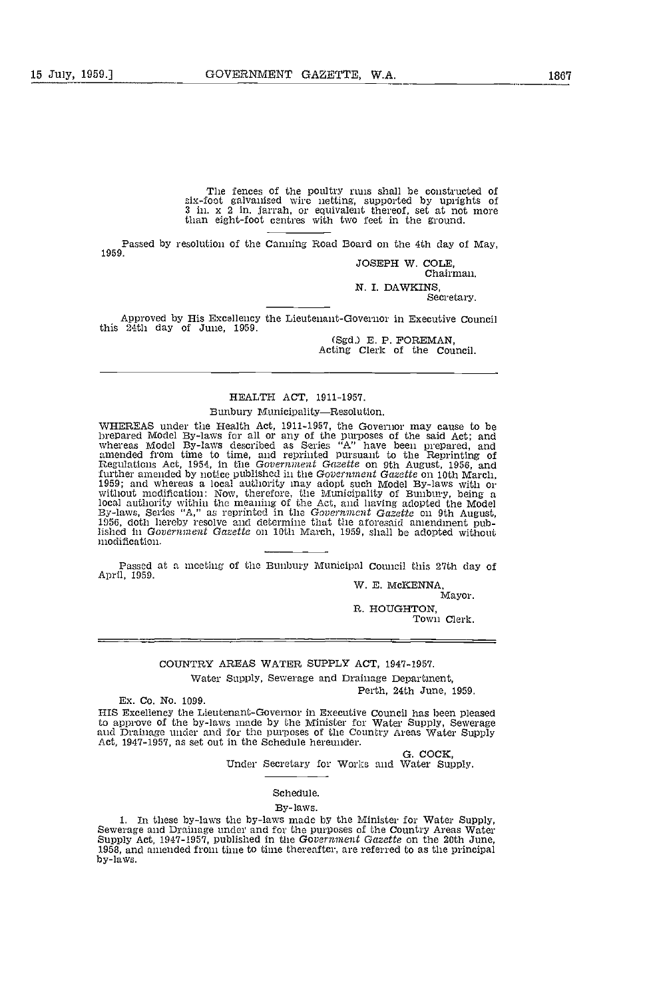The fences of the poultry runs shall be constructed of six-foot galvanised wire netting, supported by uprights of 3 in. x 2 in. jarrah, or equivalent thereof, set at not more than eight-foot centres with two feet in the ground.

Passed by resolution of the Canning Road Board on the 4th day of May, 1959.

JOSEPH W. COLE, Chairman.

N. I. DAWKINS,<br>Secretary.

Approved by His Excellency the Lieutenant-Governor in Executive Council<br>this 24th day of June, 1959.<br>(Sgd.) E. P. FOREMAN,

Acting Clerk of the Council.

## HEALTH ACT, 1911-1957.

#### Bunbury Municipality-Resolution.

WHEREAS under the Health Act, 1911-1957, the Governor may cause to be<br>brepared Model By-laws for all or any of the purposes of the said Act; and<br>whereas Model By-laws described as Series "A" have been prepared, and amended from time to time, and reprinted pursuant to the Reprinting of Regulations Act, 1954, in the Government Gazette on 9th August, 1956, and further amended by notice published in the Government Gazette on 10th March, 1959; and whereas a local authority may adopt such Model By-laws with or without modification: Now, therefore, the Municipality cI Bunbury, being a local authority within the meaning of the Act, and having adopted the Model By-laws, Series "A," as reprinted in the Government Gazette on 9th August, 1956, doth hereby resolve and determine that the aforesaid amendment p lished in Government Gazette on 10th March, 1959, shall be adopted without modification.

Passed at a meeting of the Bunbury Municipal Council this 27th day of April, 1959. W. B. McKENNA,

Mayor,

R. HOUGHTON, Town Clerk.

## COUNTRY AREAS WATER SUPPLY ACT, 1947-1957.

Water Supply, Sewerage and Drainage Department, Perth, 24th June, 1959.

Ex. Co. No. 1099.

HIS Excellency the Lieutenant-Governor in Executive Council has been pleased to approve of the by-laws made by the Minister for Water Supply, Sewerage and Drainage under and for the purposes of the Country Areas Water Supply Act, 1947-1957, as set out in the Schedule hereunder.

G. COCK,<br>Under Secretary for Works and Water Supply.

Schedule.

#### By-laws.

1. In these by-laws the by-laws made by the Minister for Water Supply, Sewerage and Drainage under and for the purposes of the Country Areas Water Supply, Act, 1947-1957, published in the Government Gazette on the 20th Jun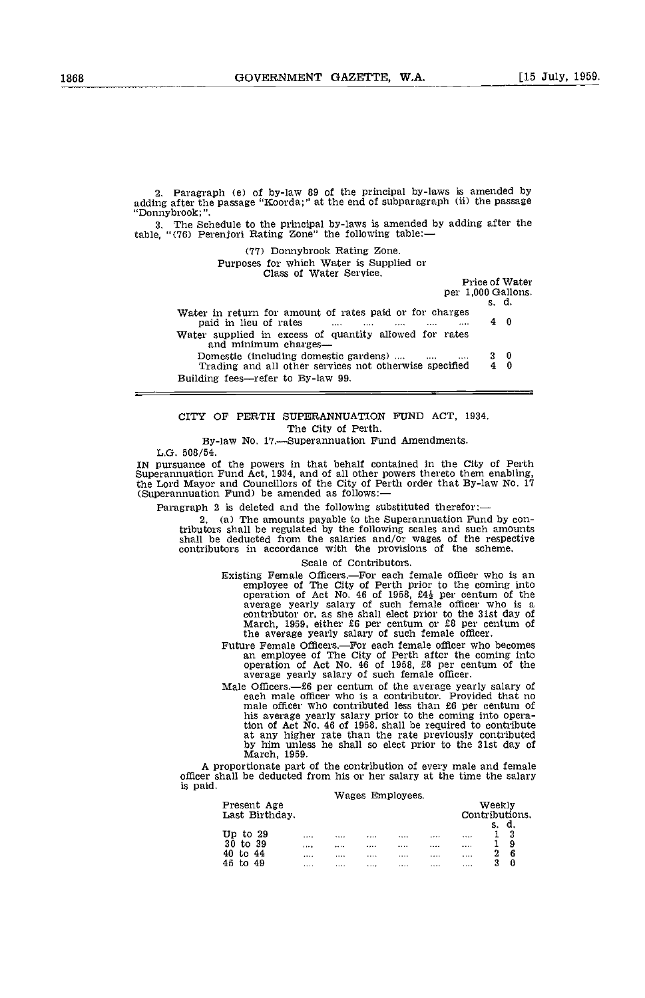Paragraph (e) of by-law 89 of the principal by-laws is amended by adding after the passage "Koorda;" at the end of subparagraph (ii) the passage "Donnybrook;".

The Schedule to the principal by-laws is amended by adding after the table, "(76) Perenjori Rating Zone" the following table:—

('17) Donnybrook Rating Zone.

Purposes for which Water is Supplied or Class of Water Service.

Price of Water

per 1,000 Gallons.<br>s. d. Water in return for amount of rates paid or for charges paid in lieu of rates .... .... .... 4 0 Water supplied in excess of quantity allowed for rates<br>and minimum charges—<br>Domestic (including domestic gardens) .... .... ... 3 0<br>Trading and all other services not otherwise specified 4 0 Trading and all other services not otherwise specified Building fees-refer to By-law 99.

CITY OF PERTH SUPERANNUATION FUND ACT, 1934. The City of Perth.

By-law No. 17.-Superannuation Fund Amendments.

L.G. 508/54.

IN pursuance of the powers in that behalf contained in the City of Perth Superannuation Fund Act, 1934, and of all other powers thereto them enabling, the Lord Mayor and Councillors of the City of Perth order that By-law No. 17 (Superannuation Fund) be amended as follows:

Paragraph 2 is deleted and the following substituted therefor:-

2. (a) The amounts payable to the Superannuation Fund by contributors shall be regulated by the following scales and such amounts tributors shall be regulated by the following scales and such amounts shall be deducted from the salaries and/or wages of the respective contributors in accordance with the provisions of the scheme.

Scale of Contributors.

- Existing Female Officers.—For each female officer who is an employee of The City of Perth prior to the coming into operation of Act No. 46 of 1958,  $f4<sub>1</sub>$  per centum of the average yearly salary of such female officer who is a contributor or, as she shall elect prior to the 31st day of March, 1959, either £6 per centum or £8 per centum of the average yearly salary of such female officer.
- Future Female Officers.-For each female officer who becomes an employee of The City of Perth after the coming into operation of Act No. 46 of 1958, £8 per centum of the average yearly salary of such female officer.<br>Male Officers.— $\pounds 6$  per centum of the average yearly salary of
- Male Officers.-6 per centum of the average yearly salary of each male officer who is a contributor. Provided that no male officer who contributed less than £6 per centum of his average yearly salary prior to the coming into operation of Act No. 46 of 1958, shall be required to contribute at any higher rate than the rate previously contributed by him unless he shall so elect prior to the 31st day of March, 1959.

March, 1959.<br>A proportionate part of the contribution of every male and female officer shall be deducted from his or her salary at the time the salary is paid.

| is paid. |                               |              | Wages Employees. |       |                          |  |
|----------|-------------------------------|--------------|------------------|-------|--------------------------|--|
|          | Present Age<br>Last Birthday. |              |                  |       | Weekly<br>Contributions. |  |
|          | Up to $29$                    | <br>         | <br>             |       | <br>d.<br>s.<br>3        |  |
|          | 30 to 39<br>44<br>40<br>tο    | <br><br><br> | <br><br><br>     | <br>. | <br><br>9<br>2<br>6      |  |
|          | 45<br>49                      | <br>         | <br>             |       | <br>3<br>0               |  |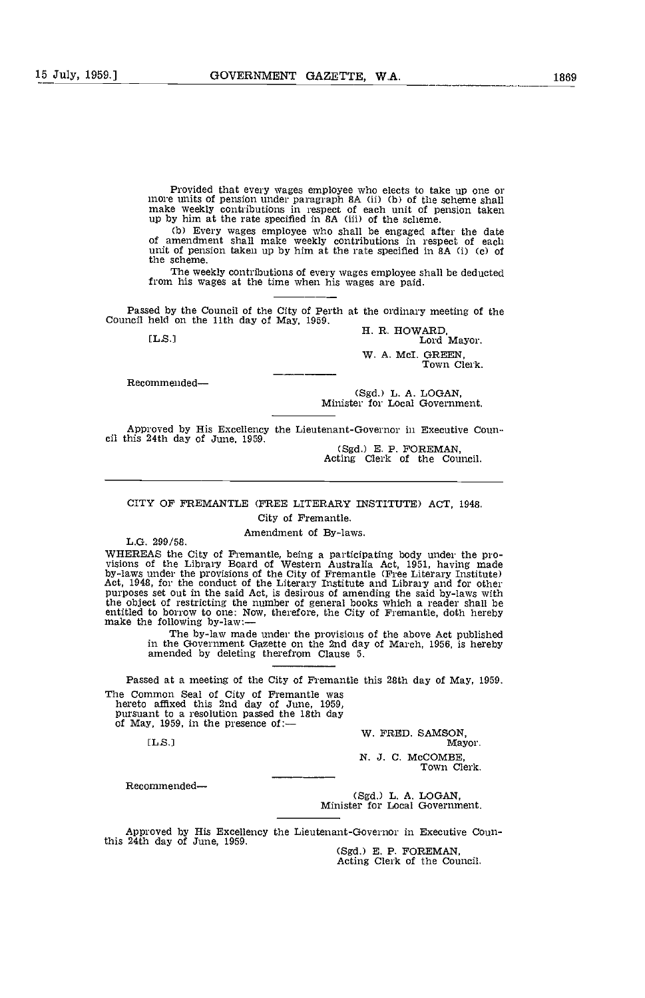Provided that every wages employee who elects to take up one or more units of pension under paragraph 8A (ii) (b) of the scheme shall make weekly contributions in respect of each unit of pension taken up by him at the rate specified in 8A (iii) of the scheme.

(b) Every wages employee who shall be engaged after the date of amendment shall make weekly contributions in respect of each unit of pension taken up by him at the rate specified in 8A (i) (c) of the scheme.

The weekly contributions of every wages employee shall be deducted from his wages at the time when his wages are paid.

Passed by the Council of the City of Perth at the ordinary meeting of the Council held on the 11th day of May, 1959.<br>
H. R. HOWARD, Lord Mayor.

Lord Mayor. W. A. McI. GREEN

Town Clerk.

Recommended

(Sgd.) L. A. LOGAN, Minister for Local Government.

Approved by His Excellency the Lieutenant-Governor in Executive Coun-<br>cil this 24th day of June, 1959. (Sgd.) E. P. FOREMAN,<br>Acting Clerk of the Council.

## CITY OP FREMANTLE (FREE LITERARY INSTITUTE) ACT, 1948. City of Fremantle.

Amendment of By-laws. L.G. 299/58.

WHEREAS the City of Fremantie, being a participating body under the provisions of the Library Board of Western Australia Act, 1951, having made by-laws under the provisions of the City of Fremantie (Free Literary Institute the object of restricting the number of general books which a reader shall be entitled to borrow to one: Now, therefore, the City of Fremantle, doth hereby make the following by-law:—

The by-law made under the provisions of the above Act published in the Government Gazette on the 2nd day of March, 1956, is hereby amended by deleting therefrom Clause 5.

Passed at a meeting of the City of Fremantle this 28th day of May, 1959.

The Common Seal of City of Fremantle was<br>hereto affixed this 2nd day of June, 1959,<br>pursuant to a resolution passed the 18th day<br>of May, 1959, in the presence of: W. FRED. SAMSON,<br>[L.S.] Mayor.

N. J. C. McCOMBE,<br>Town Clerk.

Recommended

(Sgd.) L. A. LOGAN, Minister for Local Government.

Approved by His Excellency the Lieutenant-Governor in Executive Coun-<br>this 24th day of June, 1959.<br>(Sgd.) E. P. FOREMAN,<br>Acting Clerk of the Council.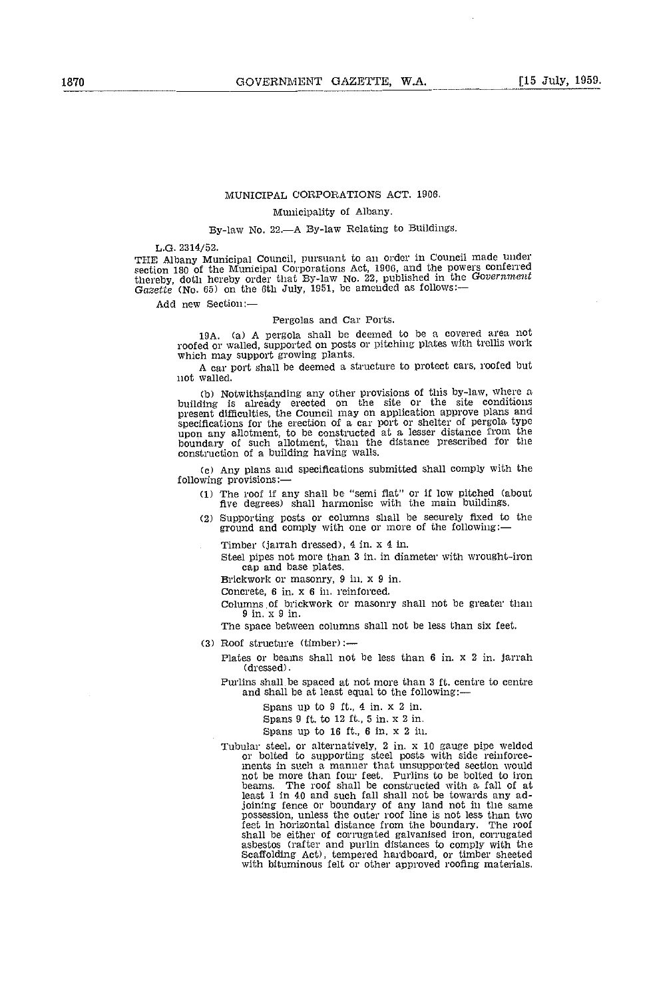## MUNICIPAL CORPORATIONS ACT. 1906.

## Municipality of Albany.

## By-law No. 22.-A By-law Relating to Buildings.

L.G. 2314 /52.

THE Albany Municipal Council, pursuant to an order in Council made under section 180 of the Municipal Corporations Act, 1906, and the powers conferred<br>thereby, doth hereby order that By-law No. 22, published in the Government Gazette (No.  $65$ ) on the 6th July, 1951, be amended as follows:—

Add new Section:

Pergolas and Car Ports.<br>19A. (a) A pergola shall be deemed to be a covered area not roofed or walled, supported on posts or pitching plates with trellis work which may support growing plants.

A car port shall be deemed a structure to protect cars, roofed but not walled.

(b) Notwithstanding any other provisions of this by-law, where a building is already erected on the site or the site conditions present difficulties, the Council may on application approve plans and specifications for the erection of a car port or shelter of pergola type specifications for unit of the erection of a car port of a care performance from the boundary of such allotment, than the distance prescribed for the construction of a building having walls.

Any plans and specifications submitted shall comply with the following provisions:

- The roof if any shall be "semi fiat" or if low pitched (about five degrees) shall harmonise with the main buildings.
- (2) Supporting posts or columns shall be securely fixed to the ground and comply with one or more of the following:—

Timber (jarrah dressed), 4 in. x 4 in.

Steel pipes not more than 3 in. in diameter with wrought-iron cap and base plates.

Brickwork or masonry, 9 in, x 9 in.

Concrete, 6 in. x 6 in. reinforced.

Columns of brickwork or masonry shall not be greater than 9 in. x 9 in.

The space between columns shall not be less than six feet.

 $(3)$  Roof structure (timber):-

Plates or beams shall not be less than 6 in. x 2 in. jarrah (dressed).

Purlins shall be spaced at not more than 3 ft. centre to centre and shall be at least equal to the following:

Spans up to 9 ft., 4 in. x 2 in.

Spans 9 ft. to 12 ft., 5 in. x 2 in.

Spans up to 16 ft., 6 in. x 2 in.

Tubular steel, or alternatively, 2 in. x 10 gauge pipe welded<br>or bolted to supporting steel posts with side reinforce-<br>ments in such a manner that unsupported section would beams. The roof shall be constructed with a fall of at least 1 in 40 and such fall shall not be towards any adjoining fence or boundary of any land not in the same possession, unless the outer roof line is not less than two feet in horizontal distance from the boundary. The roof feet in horizontal distance from the boundary. The roof shall be either of corrugated galvanised iron, corrugated asbestos (rafter and purlin distances to comply with the Scaffolding Act), tempered hardboard, or timber sheeted with bituminous felt or other approved roofing materials.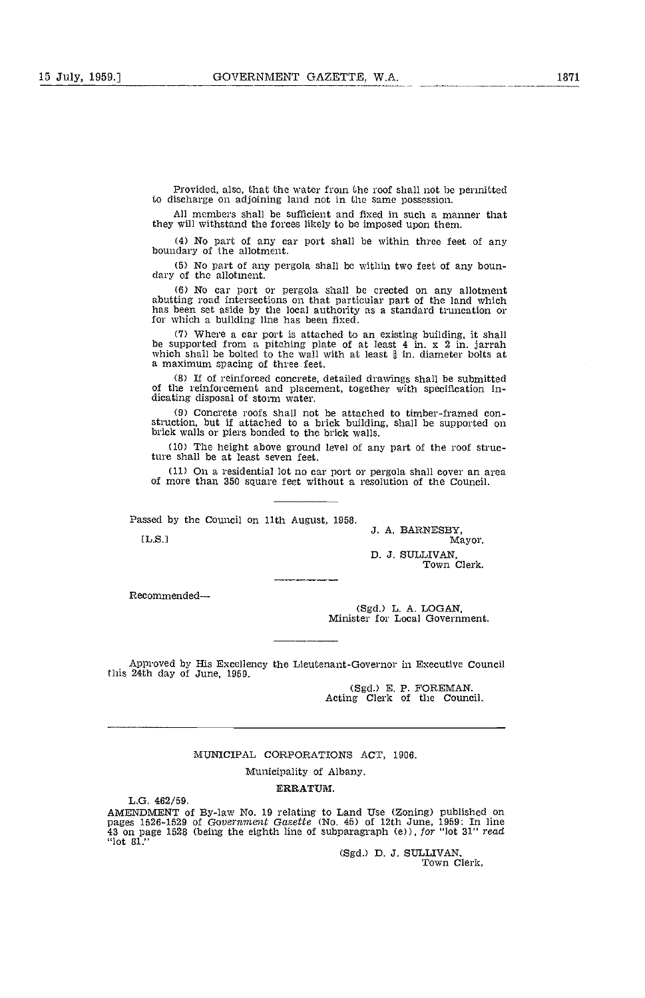Provided, also, that the water from the roof shall not he permitted to discharge on adjoining land not in the same possession.

All members shall be sufficient and fixed in such a manner that they will withstand the forces likely to be imposed upon them.

No part of any car port shall be withia three feet of any boundary of the allotment.

No part of any pergola shall be within two feet of any boun- dary of the allotment.

No car port or pergola shall be erected on any allotment abutting road intersections on that particular part of the land which has been set aside by the local authority as a standard truncation or for which a building line has been fixed.

(7) Where a car port is attached to an existing building, it shall be supported from a pitching plate of at least 4 in. x 2 in. jarrah which shall be bolted to the wall with at least  $\frac{3}{9}$  in. diameter bolts at a maximum spacing of three feet.

If of reinforced concrete, detailed drawings shall be submitted of the reinforcement and placement, together with specification in- dicating disposal of storm water.

Concrete roofs shall not be attached to timber-framed construction, but if attached to a brick building, shall be supported on brick walls or piers bonded to the brick walls.

(10) The height above ground level of any part of the roof structure shall be at least seven feet.

 $(11)$  On a residential lot no car port or pergola shall cover an area of more than 350 square feet without a resolution of the Council.

Passed by the Council on 11th August, 1958.<br>
J. A. BARNESBY, Mayor.<br>
Mayor. D. J. SULLIVAN,

Town Clerk.

Recommended-

(Sgd.) L. A. LOGAN, Minister for Local Government.

Approved by His Excellency the Lieutenant-Governor in Executive Council this 24th day of June, 1059.

(Sgd.) E. P. FOREMAN. Acting Clerk of the Council.

## MUNICIPAL CORPORATIONS ACT, 1906.

Municipality of Albany.

ERRATUM.

L.G. 462/59.

AMENDMENT of By-law No. 19 relating to Land Use (Zoning) published on<br>pages 1526-1529 of Gov*ernment Gazette* (No. 45) of 12th June, 1959: In line<br>43 on page 1528 (being the eighth line of subparagraph (e)), *for* "lot 31" "lot 81."

(Sgd.) D. J. SULLIVAN,<br>Town Clerk,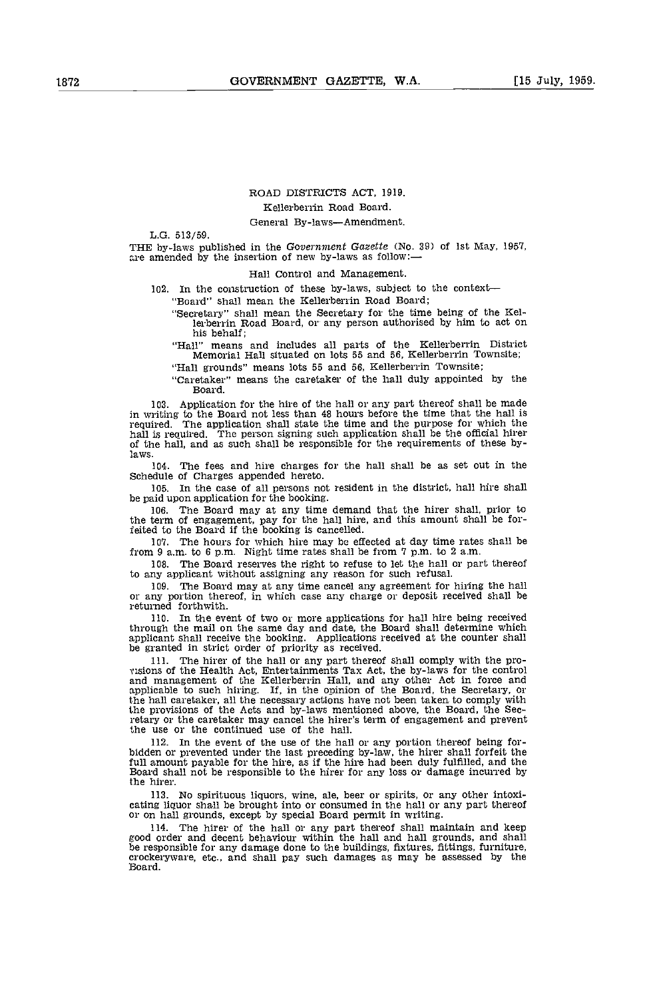## ROAD DISTRICTS ACT, 1919. Kellerberrin Road Board.

## General By-laws-Amendment.

L.G. 513/59.

THE by-laws published in the Government Gazette (No. 39) of 1st May, 1957, are amended by the insertion of new by-laws as follow:—

Hall Control and Management.

In the construction of these by-laws, subject to the context

"Board" shall mean the Kellerberrin Road Board;

- "Secretary" shall mean the Secretary for the time being of the Kellerberrin Road Board, or any person authorised by him to act on his behalf;
- "Hall" means and includes all parts of the Kellerberrin District Memorial Hall situated on lots 55 and 56, Kellerberrin Townsite;

"Hall grounds" means lots 55 and 56, Kellerberrin Townsite;

"Caretaker" means the caretaker of the hall duly appointed by the Board.

103. Application for the hire of the hall or any part thereof shall be made in writing to the Board not less than 48 hours before the time that the hall is required. The application shall state the time and the purpose for which the hall is required. The application shall state the time and the purpose for which the hall is required. The person signing such application shall laws.

The fees and hire charges for the hall shall be as set out in the Schedule of Charges appended hereto.

In the case of all persons not resident in the district, hall hire shall be paid upon application for the booking.

The Board may at any time demand that the hirer shall, prior to the term of engagement, pay for the hall hire, and this amount shall be forfeited to the Board if the booking is cancelled.

107. The hours for which hire may be effected at day time rates shall be from 9 am. to 6 p.m. Night time rates shall be from 7 p.m. to 2 a.m.

108. The Board reserves the right to refuse to let the hall or part thereof to any applicant without assigning any reason for such refusal.<br>109. The Board may at any time cancel any agreement for hiring the hall

or any portion thereof, in which case any charge or deposit received shall be returned forthwith.<br>110. In the eve

In the event of two or more applications for hall hire being received through the mail on the same day and date, the Board shall determine which applicant shall receive the booking. Applications received at the counter shall be granted in strict order of priority as received.

The hirer of the hall or any part thereof shall comply with the pro-<br>visions of the Health Act, Entertainments Tax Act, the by-laws for the control<br>and management of the Kellerberrin Hall, and any other Act in force and and management of the Kellerberrin Hall, and any other Act in force and applicable to such hiring. If, in the opinion of the Board, the Secretary, or the hall caretaker, all the necessary actions have not been taken to comply with the provisions of the Acts and by-laws mentioned above, the Board, the Secretary or the caretaker may cancel the hirer's term of engagement and prevent the use or the continued use of the hall.

In the event of the use of the hall or any portion thereof being for- bidden or prevented under the last preceding by-law, the hirer shall forfeit the full amount payable for the hire, as if the hire had been duly fulfilled, and the Board shall not be responsible to the hirer for any loss or damage incurred by the hirer.

No spirituous liquors, wine, ale, beer or spirits, or any other intoxi- cating liquor shall be brought into or consumed in the hail or any part thereof or on hall grounds, except by special Board permit in writing.

The hirer of the hall or any part thereof shall maintain and keep good order and decent behaviour within the hall and hall grounds, and shall be responsible for any damage done to the buildings, fixtures, fittings, furniture, crockeryware, etc., and shall pay such damages as may be asses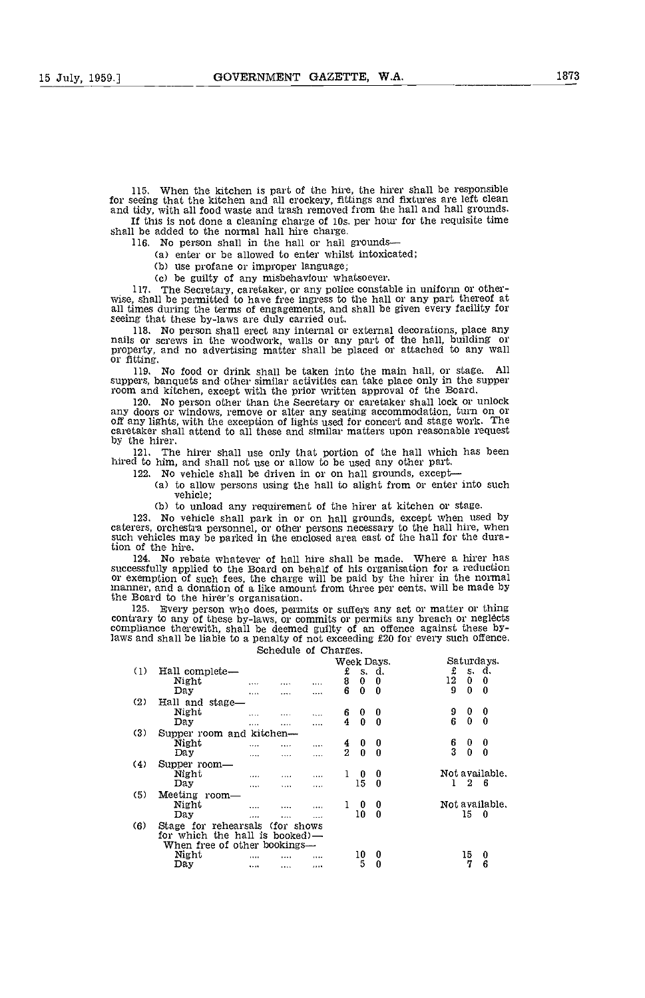115. When the kitchen is part cf the hire, the hirer shall be responsible for seeing that the kitchen and all crockery, fittings and fixtures are left clean and tidy, with all food waste and trash removed from the hall and hall grounds. If this is not done a cleaning charge of los. per hcur for the requisite time

shall be added to the normal hall hire charge.

116. No person shall in the hail or hail grounds

(a) enter or be allowed to enter whilst intoxicated;<br>(b) use profane or improper language;

(c) be guilty of any misbehaviour whatsoever.

117. The Secretary, caretaker, or any police constable in uniform or otherwise, shall be permitted to have free ingress to the hall or any part thereof at all times during the terms of engagements, and shall be given every

118. No person shall erect any internal or external decorations, place any nails or screws in the woodwork, walls or any part of the hall, building or property, and no advertising matter shall be placed or attached to any

No food or drink shall be taken into the main hall, or stage. suppers, banquets and other similar activities can take place only in the supper room and kitchen, except with the prior written approval of the Board.

120. No person other than the Secretary or caretaker shall lock or unlock<br>any doors or windows, remove or alter any seating accommodation, turn on or off any lights, with the exception of lights used for concert and stage work. The caretaker shall attend to all these and similar matters upon reasonable request by the hirer.

121. The hirer shall use only that portion of the hall which has been hired to him, and shall not use or allow to be used any other part.

- 122. No vehicle shall be driven in or on hall grounds, except
	- (a) to allow persons using the hall to alight from or enter into such vehicle;

(b) to unload any requirement of the hirer at kitchen or stage.

123, No vehicle shall park in or on hall grounds, except when used by caterers, orchestra personnel, or other persons necessary to the hall hire, when such vehicles may be parked in the enclosed area east of the hall for the duration of the hire.<br>124. No reb

124. No rebate whatever of hall hire shall be made. Where a hirer has successfully applied to the Board on behalf of his organisation for a reduction or exemption of such fees, the charge will be paid by the hirer in the normal manner, and a donation of a like amount from three per cents, will be made by the Board to the hirer's organisation.

Bvery person vho dces, permits or suffers any act or matter or thing contrary to any of these by-laws, or commits or permits any breach or neglects compliance therewith, shall be deemed guilty of an offence against these bylaws and shall be liable to a penalty of not exceeding £20 for every such offence. Schedule of Charges.

|     |                                 |          |          |          |               |              | Week Days.       |               |    | Saturdays.     |
|-----|---------------------------------|----------|----------|----------|---------------|--------------|------------------|---------------|----|----------------|
| (1) | Hall complete-                  |          |          |          | £             |              | s. d.            | £             |    | s. d.          |
|     | Night                           |          | .        | $\cdots$ | 8             | $\bf{0}$     | 0                | 12            | 0  | 0              |
|     | Day                             | .        |          |          | 6             | $\mathbf{0}$ | $\bf{0}$         | 9             | 0  | 0              |
| (2) | Hall and stage-                 |          |          |          |               |              |                  |               |    |                |
|     | Night                           |          |          | $\cdots$ | 6             | 0            | 0                | 9             | 0  | 0              |
|     | Day                             | $\cdots$ |          | $\cdots$ | 4             | $\Omega$     | $\boldsymbol{0}$ | 6             | 0  | $\theta$       |
| (3) | Supper room and kitchen-        |          |          |          |               |              |                  |               |    |                |
|     | Night                           | $\cdots$ |          | $\cdots$ | $\frac{4}{2}$ | 0            | 0                | $\frac{6}{3}$ | 0  | 0              |
|     | Da y                            | $\cdots$ | $\cdots$ |          |               | $\Omega$     | $\boldsymbol{0}$ |               | 0  | 0              |
| (4) | Supper room-                    |          |          |          |               |              |                  |               |    |                |
|     | Night                           | $\cdots$ | 1.111    |          |               | 0            | 0                |               |    | Not available. |
|     | Day                             | $\cdots$ | $\cdots$ |          |               | 15           | $\bf{0}$         | 1             | 2  | 6              |
| (5) | Meeting room-                   |          |          |          |               |              |                  |               |    |                |
|     | Night                           |          | $\cdots$ |          |               | 0            | 0                |               |    | Not available. |
|     | Day                             | $\cdots$ |          |          |               | 10           | 0                |               | 15 | 0              |
| (6) | Stage for rehearsals (for shows |          |          |          |               |              |                  |               |    |                |
|     | for which the hall is booked)-  |          |          |          |               |              |                  |               |    |                |
|     | When free of other bookings-    |          |          |          |               |              |                  |               |    |                |
|     | Night                           |          |          | .        |               | 10           | 0                |               | 15 | 0              |
|     | Day                             |          |          |          |               | 5            | $\bf{0}$         |               | 7  | 6              |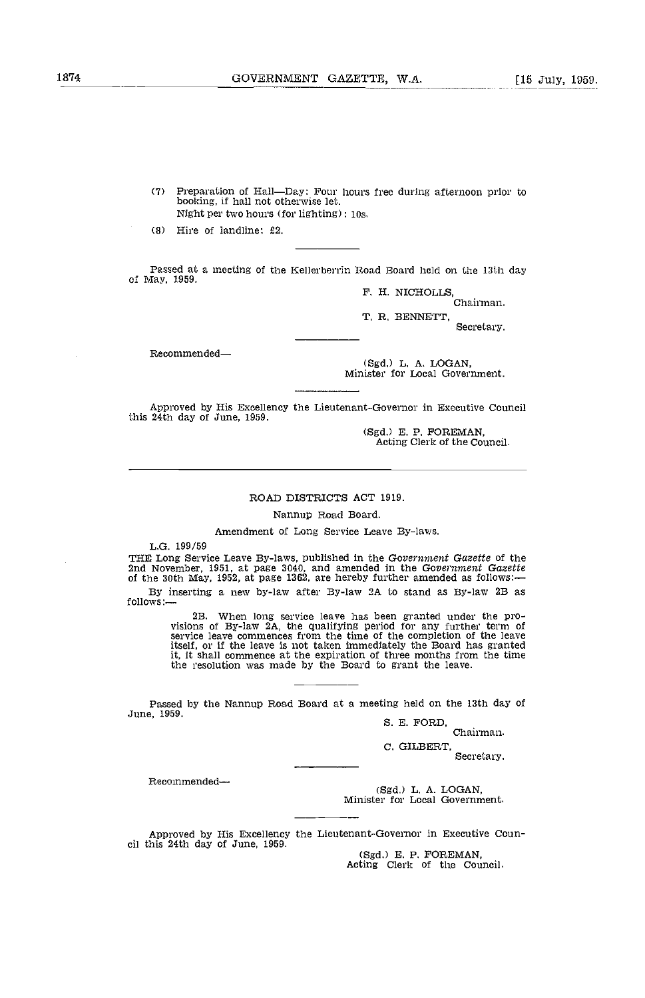$(7)$ Preparation of Hall-Day: Four hours free during afternoon prior to booking, if hall not otherwise let. Night per two hours (for lighting)  $: 10s$ .

Hire of landline: £2.

Passed at a meeting of the Kellerherrin Road Board held on the 13th day of May, 1959.

> F. H. NICHOLLS Chairman.

T. R, BENNETT,

Secretary.

Recommended

(Sgd.) L. A. LOGAN, Minister for Local Government.

Approved by His Excellency the Lieutenant-Governor in Executive Council this 24th day of June, 1959.

(Sgd.) E. P. FOREMAN, Acting Clerk of the Council.

## ROAD DISTRICTS ACT 1919.

Nannup Road Board.

Amendment of Long Service Leave By-laws.

L.G. 199/59<br>THE Long Service Leave By-laws, published in the Government Gazette of the 2nd November, 1951, at page 3040, and amended in the Government Gazette of the 30th May, 1952, at page 1362, are hereby further amended as follows:—

By inserting a new by-law after By-law 2A to stand as By-law 2B as follows:-

> 2B. When long service leave has been granted under the pro- visions of By-law 2A, the qualifying period for any further term of service leave commences from the time of the completion of the leave itself, or if the leave is not taken immediately the Board has granted it, it shall commence at the expiration of three months from the time the resolution was made by the Board to grant the leave.

Passed by the Nannup Road Board at a meeting held on the 13th day of June, 1959.<br>S. E. FORD, Chairman.

C. GILBERT, Secretary.

Recommended

(Sgd.) L. A. LOGAN, Minister for Local Government.

Approved by His Excellency the Lieutenant-Governor in Executive Council this 24th day of June, 1959.<br>(Sgd.) E. P. FOREMAN, Acting Clerk of the Council.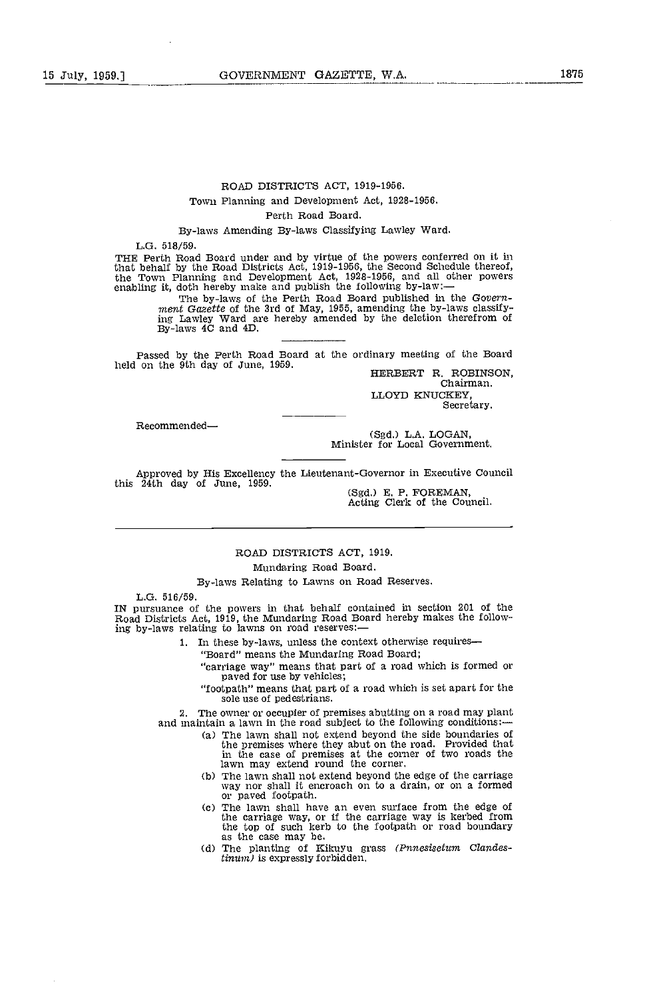## ROAD DISTRICTS ACT, 1919-1956. Town Planning and Development Act, 1928-1956.

## Perth Road Board.

By-laws Amending By-laws Classifying Lawley Ward.

L.G. 518/59.

THE Perth Road Board under and by virtue of the powers conferred on it in that behalf by the Road Districts Act, 1919-1956, the Second Schedule thereof,<br>the Town Planning and Development Act, 1928-1956, and all other powers<br>enabling it, doth hereby make and publish the following by-law:—<br>The by-

ment Gazette of the 3rd of May, 1955, amending the by-laws classify-<br>ing Lawley Ward are hereby amended by the deletion therefrom of<br>By-laws 4C and 4D.

Passed by the Perth Road Board at the ordinary meeting of the Board held on the 9th day of June, 1959.<br>
HERBERT R. ROBINSON,

HERBERT R. ROBINSON,<br>Chairman. LLOYD KNUCKEY, Secretary.

Recommended-

(Sgd.) L.A. LOGAN, Minister for Local Government.

Approved by His Excellency the Lieutenant-Governor in Executive Council<br>this 24th day of June, 1959. (Sgd.) E. P. FOREMAN,<br>Acting Clerk of the Council.

ROAD DISTRICTS ACT, 1919.

## Mundaring Road Board.

By-laws Relating to Lawns on Road Reserves.

L.G. 516/59.

IN pursuance of the powers in that behalf contained in section 201 of the Road Districts Act, 1919, the Mundaring Road Board hereby makes the following by-laws relating to lawns on road reserves:-

- In these by-laws, unless the context otherwise requires
	- 'Board" means the Mundaring Road Board;

"carriage way" means that part of a road which is formed or paved for use by vehicles;

"footpath" means that part of a road which is set apart for the sole use of pedestrians.

The owner or occupier of premises abutting on a road may plant and maintain a lawn in the road subject to the following conditions:

- (a) The lawn shall not extend beyond the side boundaries of the premises where they abut on the road. Provided that in the case of premises at the corner of two roads the lawn may extend round the corner.
- (b) The lawn shall not extend beyond the edge of the carriage way nor shall it encroach on to a drain, or on a formed or paved footpath. or paved footpath.<br>(c) The lawn shall have an even surface from the edge of
- the carriage way, or if the carriage way is kerbed from the top of such kerb to the footpath or road boundary
- as the case may be.<br>
(d) The planting of Kikuyu grass (Pnnesisetum Clandes-(d) The planting of Kikuyu grass  $(Pnnesistum$  Clandes-<br>tinum) is expressly forbidden.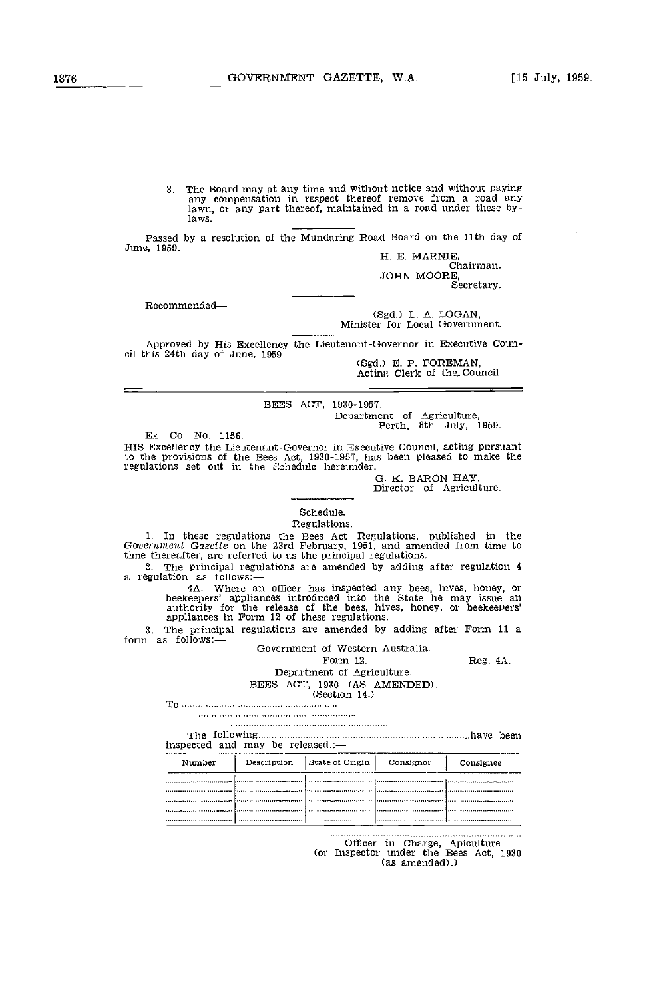3. The Board may at any time and without notice and without paying any compensation in respect thereof remove from a road any lawn, or any part thereof, maintained in a road under these bylaws.

Passed by a resolution of the Mundaring Road Board on the 11th day of June, 1959.<br>H. E. MARNIE, Chairman.<br>Chairman.

JOHN MOORE, Secretary.

Recommended

(Sgd.) L. A. LOGAN, Minister for Local Government.

Approved by His Excellency the Lieutenant-Governor in Executive Council this 24th day of June, 1959.<br>(Sgd.) E. P. FOREMAN, Acting Clerk of the Council.

BEES ACT, 1930-1957. Department of Agriculture, Perth, 8th July, 1959.

Ex, Co. No. 1156.

HIS Excellency the Lieutenant-Governor in Executive Council, acting pursuant to the provisions of the Bees Act, 1930-1957, has been pleased to make the regulations set out in the Eshedule hereunder.<br>G. K. BARON HAY

Director of Agriculture.

## Schedule.

Regulations. In these regulations the Bees Act Regulations, published in the Government Gazette on the 23rd February, 1951, and amended from time to time thereafter, are referred to as the principal regulations.

2. The principal regulations are amended by adding after regulation 4 a regulation as follows: - 4A. Where an officer has inspected any bees, hives, honey, or beekeepers' appliances introduced into the State he may issue a

authority for the release of the bees, hives, honey, or beekeepers' appliances in Form 12 of these regulations.

3. The principal regulations are amended by adding after Form 11 a form as follows: $\frac{1}{\sqrt{2}}$ 

Government of Western Australia. Form 12. Reg. 4A.

## Department of Agriculture. BEES ACT, 1930 (AS AMENDED).<br>(Section 14.)

To

The following have been and the state been and the following have been and the state been and the state been and the state of the state of the state of the state of the state of the state of the state of the state of the s inspected and may be released.:

| Number | Description | State of Origin | Consignor | Consignee |
|--------|-------------|-----------------|-----------|-----------|
|        |             |                 |           |           |
|        |             |                 |           |           |
|        |             |                 |           |           |
|        |             |                 |           |           |
|        |             |                 |           |           |

Officer in Charge, Apiculture<br>(or Inspector under the Bees Act, 1930) (as amended).)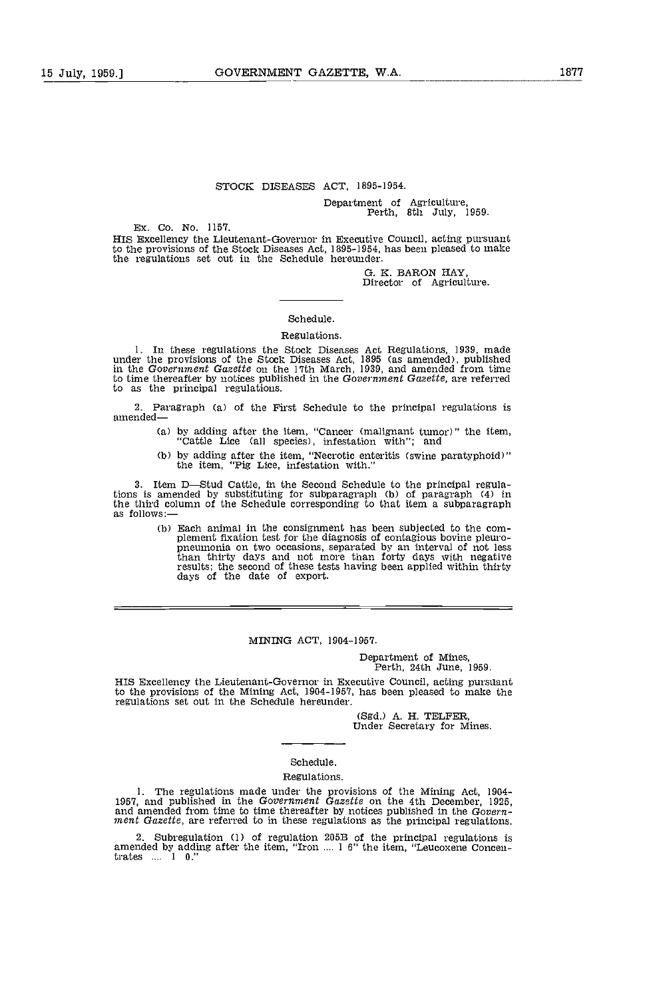## STOCK DISEASES ACT, 1895-1954.

Department of Agriculture, Perth, 8th July, 1959.

Ex. Co. No. 1157.

HIS Excellency the Lieutenant-Governor in Executive Council, acting pursuant to the provisions of the Stock Diseases Act, 1895-1954, has been pleased to make the regulations set out in the Schedule hereunder.

> G. K. BARON HAY Director of Agriculture.

#### Schedule.

#### Regulations.

1. In these regulations the Stock Diseases Act Regulations, 1939. made under the provisions of the Stock Diseases Act, 1895 (as amended), published in the Government Gazette on the 17th March, 1939, and amended from time to time thereafter by notices published in the Government Gazette, are referred to as the principal regulations.

2. Paragraph (a) of the First Schedule to the principal regulations is amended-

- by adding after the item, "Cancer (malignant tumor)" the item, "Cattle Lice (all species), infestation with"; and
- by adding after the item, "Necrotic enteritis (swine paratyphoid)" the item, "Pig Lice, infestation with."

3. Item D-Stud Cattle, in the Second Schedule to the principal regulations is amended by substituting for subparagraph (b) of paragraph (4) in the third column of the Schedule corresponding to that item a subparagraph as follows:

(b) Each animal in the consignment has been subjected to the complement fixation test for the diagnosis of contagious bovine pleuro-<br>pneumonia on two occasions, separated by an interval of not less<br>than thirty days and not results; the second of these tests having been applied within thirty days of the date of export.

## MINING ACT, 1904-1957.

# Department of Mines, Perth, 24th June, 1959.

HIS Excellency the Lieutenant-Governor in Executive Council, acting pursuant to the provisions of the Mining Act, 1904-1957, has been pleased to make the regulations set out in the Schedule hereunder.

(Sgd.) A. H. TELFER, Under Secretary for Mines.

## Schedule.

#### Regulations.

1. The regulations made under the provisions of the Mining Act, 1904-1957, and published in the Government Gazette on the 4th December, 1925, and amended from time to time thereafter by notices published in the Government

2. Subregulation (1) of regulation 205B of the principal regulations is amended by adding after the item, "Iron .... 1 6" the item, "Leucoxene Concentrates .... 1 0."